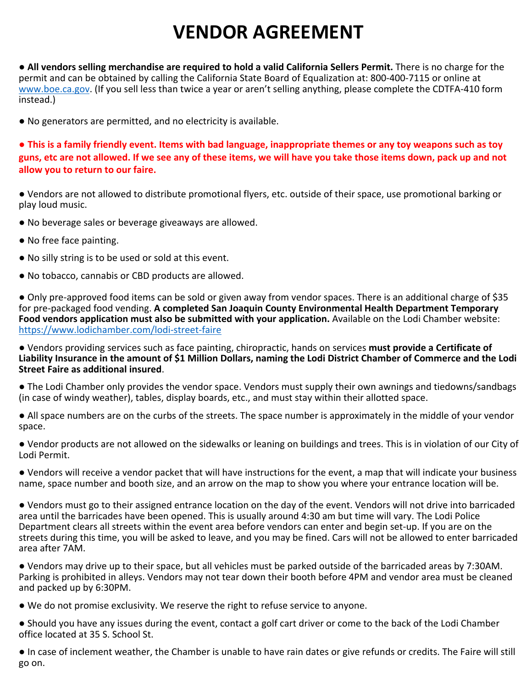## **VENDOR AGREEMENT**

● **All vendors selling merchandise are required to hold a valid California Sellers Permit.** There is no charge for the permit and can be obtained by calling the California State Board of Equalization at: 800-400-7115 or online at www.boe.ca.gov. (If you sell less than twice a year or aren't selling anything, please complete the CDTFA-410 form instead.)

● No generators are permitted, and no electricity is available.

**● This is a family friendly event. Items with bad language, inappropriate themes or any toy weapons such as toy guns, etc are not allowed. If we see any of these items, we will have you take those items down, pack up and not allow you to return to our faire.**

● Vendors are not allowed to distribute promotional flyers, etc. outside of their space, use promotional barking or play loud music.

- No beverage sales or beverage giveaways are allowed.
- No free face painting.
- No silly string is to be used or sold at this event.
- No tobacco, cannabis or CBD products are allowed.

● Only pre-approved food items can be sold or given away from vendor spaces. There is an additional charge of \$35 for pre-packaged food vending. **A completed San Joaquin County Environmental Health Department Temporary Food vendors application must also be submitted with your application.** Available on the Lodi Chamber website: https://www.lodichamber.com/lodi-street-faire

● Vendors providing services such as face painting, chiropractic, hands on services **must provide a Certificate of Liability Insurance in the amount of \$1 Million Dollars, naming the Lodi District Chamber of Commerce and the Lodi Street Faire as additional insured**.

● The Lodi Chamber only provides the vendor space. Vendors must supply their own awnings and tiedowns/sandbags (in case of windy weather), tables, display boards, etc., and must stay within their allotted space.

● All space numbers are on the curbs of the streets. The space number is approximately in the middle of your vendor space.

● Vendor products are not allowed on the sidewalks or leaning on buildings and trees. This is in violation of our City of Lodi Permit.

● Vendors will receive a vendor packet that will have instructions for the event, a map that will indicate your business name, space number and booth size, and an arrow on the map to show you where your entrance location will be.

● Vendors must go to their assigned entrance location on the day of the event. Vendors will not drive into barricaded area until the barricades have been opened. This is usually around 4:30 am but time will vary. The Lodi Police Department clears all streets within the event area before vendors can enter and begin set-up. If you are on the streets during this time, you will be asked to leave, and you may be fined. Cars will not be allowed to enter barricaded area after 7AM.

● Vendors may drive up to their space, but all vehicles must be parked outside of the barricaded areas by 7:30AM. Parking is prohibited in alleys. Vendors may not tear down their booth before 4PM and vendor area must be cleaned and packed up by 6:30PM.

● We do not promise exclusivity. We reserve the right to refuse service to anyone.

● Should you have any issues during the event, contact a golf cart driver or come to the back of the Lodi Chamber office located at 35 S. School St.

● In case of inclement weather, the Chamber is unable to have rain dates or give refunds or credits. The Faire will still go on.